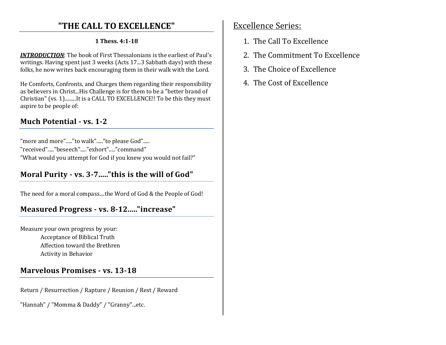# **"THE CALL TO EXCELLENCE"**

### **1 Thess. 4:1-18**

*INTRODUCTION*: The book of First Thessalonians is the earliest of Paul's writings. Having spent just 3 weeks (Acts 17...3 Sabbath days) with these folks, he now writes back encouraging them in their walk with the Lord.

He Comforts, Confronts, and Charges them regarding their responsibility as believers in Christ...His Challenge is for them to be a "better brand of Christian" (vs. 1).........It is a CALL TO EXCELLENCE!! To be this they must aspire to be people of:

# **Much Potential - vs. 1-2**

"more and more"....."to walk"....."to please God"..... "received"....."beseech"....."exhort"....."command""What would you attempt for God if you knew you would not fail?"

# **Moral Purity - vs. 3-7....."this is the will of God"**

The need for a moral compass....the Word of God & the People of God!

# **Measured Progress - vs. 8-12....."increase"**

Measure your own progress by your: Acceptance of Biblical Truth Affection toward the Brethren Activity in Behavior

### **Marvelous Promises - vs. 13-18**

Return / Resurrection / Rapture / Reunion / Rest / Reward

"Hannah" / "Momma & Daddy" / "Granny"...etc.

## Excellence Series:

- 1. The Call To Excellence
- 2. The Commitment To Excellence
- 3. The Choice of Excellence
- 4. The Cost of Excellence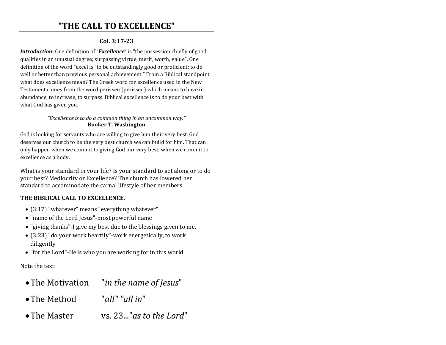### **"THE CALL TO EXCELLENCE"**

### **Col. 3:17-23**

*Introduction*: One definition of "*Excellence*" is "the possession chiefly of good qualities in an unusual degree; surpassing virtue, merit, worth, value". One definition of the word "excel is "to be outstandingly good or proficient; to do well or better than previous personal achievement." From a Biblical standpoint what does excellence mean? The Greek word for excellence used in the New Testament comes from the word perisseu (perisseu) which means to have in abundance, to increase, to surpass. Biblical excellence is to do your best with what God has given you.

#### *"Excellence is to do a common thing in an uncommon way."* **Booker T. Washington**

God is looking for servants who are willing to give him their very best. God deserves our church to be the very best church we can build for him. That can only happen when we commit to giving God our very best; when we commit to excellence as a body.

What is your standard in your life? Is your standard to get along or to do your best? Mediocrity or Excellence? The church has lowered her standard to accommodate the carnal lifestyle of her members.

### **THE BIBLICAL CALL TO EXCELLENCE.**

- (3:17) "whatever" means "everything whatever"
- "name of the Lord Jesus"-most powerful name
- "giving thanks"-I give my best due to the blessings given to me.
- (3:23) "do your work heartily"-work energetically, to work diligently.
- "for the Lord"-He is who you are working for in this world.

Note the text:

- •The Motivation "*in the name of Jesus*"
- •The Method "*all" "all in*"
- •The Master vs. 23..."*as to the Lord*"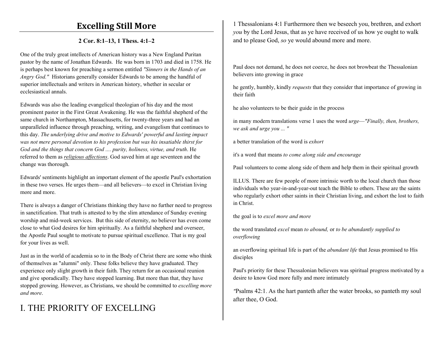### **Excelling Still More**

#### **2 Cor. 8:1–13, 1 Thess. 4:1–2**

One of the truly great intellects of American history was a New England Puritan pastor by the name of Jonathan Edwards. He was born in 1703 and died in 1758. He is perhaps best known for preaching a sermon entitled *"Sinners in the Hands of an Angry God."* Historians generally consider Edwards to be among the handful of superior intellectuals and writers in American history, whether in secular or ecclesiastical annals.

Edwards was also the leading evangelical theologian of his day and the most prominent pastor in the First Great Awakening. He was the faithful shepherd of the same church in Northampton, Massachusetts, for twenty-three years and had an unparalleled influence through preaching, writing, and evangelism that continues to this day. *The underlying drive and motive to Edwards' powerful and lasting impact was not mere personal devotion to his profession but was his insatiable thirst for God and the things that concern God .... purity, holiness, virtue, and truth*. He referred to them as *religious affections*. God saved him at age seventeen and the change was thorough.

Edwards' sentiments highlight an important element of the apostle Paul's exhortation in these two verses. He urges them—and all believers—to excel in Christian living more and more.

There is always a danger of Christians thinking they have no further need to progress in sanctification. That truth is attested to by the slim attendance of Sunday evening worship and mid-week services. But this side of eternity, no believer has even come close to what God desires for him spiritually. As a faithful shepherd and overseer, the Apostle Paul sought to motivate to pursue spiritual excellence. That is my goal for your lives as well.

Just as in the world of academia so to in the Body of Christ there are some who think of themselves as "alumni" only. These folks believe they have graduated. They experience only slight growth in their faith. They return for an occasional reunion and give sporadically. They have stopped learning. But more than that, they have stopped growing. However, as Christians, we should be committed to *excelling more and more*.

# I. THE PRIORITY OF EXCELLING

1 Thessalonians 4:1 Furthermore then we beseech you, brethren, and exhort *you* by the Lord Jesus, that as ye have received of us how ye ought to walk and to please God, *so* ye would abound more and more.

Paul does not demand, he does not coerce, he does not browbeat the Thessalonian believers into growing in grace

he gently, humbly, kindly *requests* that they consider that importance of growing in their faith

he also volunteers to be their guide in the process

in many modern translations verse 1 uses the word *urge*—*"Finally, then, brothers, we ask and urge you ... "*

a better translation of the word is *exhort*

it's a word that means *to come along side and encourage*

Paul volunteers to come along side of them and help them in their spiritual growth

ILLUS. There are few people of more intrinsic worth to the local church than those individuals who year-in-and-year-out teach the Bible to others. These are the saints who regularly exhort other saints in their Christian living, and exhort the lost to faith in Christ.

the goal is to *excel more and more*

the word translated *excel* mean *to abound,* or *to be abundantly supplied to overflowing*

an overflowing spiritual life is part of the *abundant life* that Jesus promised to His disciples

Paul's priority for these Thessalonian believers was spiritual progress motivated by a desire to know God more fully and more intimately

*"*Psalms 42:1. As the hart panteth after the water brooks, so panteth my soul after thee, O God.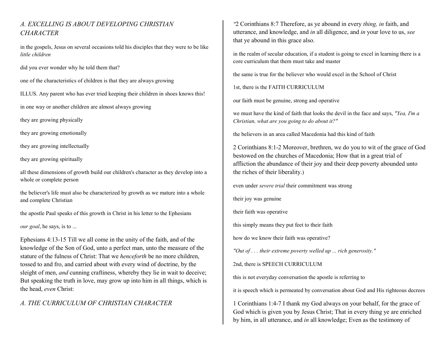### *A. EXCELLING IS ABOUT DEVELOPING CHRISTIAN CHARACTER*

in the gospels, Jesus on several occasions told his disciples that they were to be like *little children*

did you ever wonder why he told them that?

one of the characteristics of children is that they are always growing

ILLUS. Any parent who has ever tried keeping their children in shoes knows this!

in one way or another children are almost always growing

they are growing physically

they are growing emotionally

they are growing intellectually

they are growing spiritually

all these dimensions of growth build our children's character as they develop into a whole or complete person

the believer's life must also be characterized by growth as we mature into a whole and complete Christian

the apostle Paul speaks of this growth in Christ in his letter to the Ephesians

*our goal*, he says, is to ...

Ephesians 4:13-15 Till we all come in the unity of the faith, and of the knowledge of the Son of God, unto a perfect man, unto the measure of the stature of the fulness of Christ: That we *henceforth* be no more children, tossed to and fro, and carried about with every wind of doctrine, by the sleight of men, *and* cunning craftiness, whereby they lie in wait to deceive; But speaking the truth in love, may grow up into him in all things, which is the head, *even* Christ:

#### *A. THE CURRICULUM OF CHRISTIAN CHARACTER*

*"*2 Corinthians 8:7 Therefore, as ye abound in every *thing, in* faith, and utterance, and knowledge, and *in* all diligence, and *in* your love to us, *see*that ye abound in this grace also.

in the realm of secular education, if a student is going to excel in learning there is a core curriculum that them must take and master

the same is true for the believer who would excel in the School of Christ

1st, there is the FAITH CURRICULUM

our faith must be genuine, strong and operative

we must have the kind of faith that looks the devil in the face and says, *"Yea, I'm a Christian, what are you going to do about it?"*

the believers in an area called Macedonia had this kind of faith

2 Corinthians 8:1-2 Moreover, brethren, we do you to wit of the grace of God bestowed on the churches of Macedonia; How that in a great trial of affliction the abundance of their joy and their deep poverty abounded unto the riches of their liberality.)

even under *severe trial* their commitment was strong

their joy was genuine

their faith was operative

this simply means they put feet to their faith

how do we know their faith was operative?

*"Out of . . . their extreme poverty welled up ... rich generosity."*

2nd, there is SPEECH CURRICULUM

this is not everyday conversation the apostle is referring to

it is speech which is permeated by conversation about God and His righteous decrees

1 Corinthians 1:4-7 I thank my God always on your behalf, for the grace of God which is given you by Jesus Christ; That in every thing ye are enriched by him, in all utterance, and *in* all knowledge; Even as the testimony of